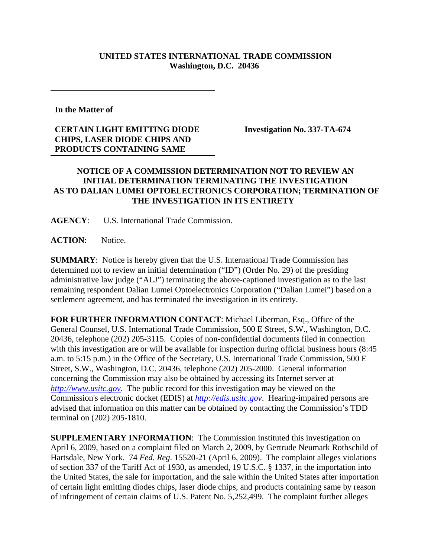## **UNITED STATES INTERNATIONAL TRADE COMMISSION Washington, D.C. 20436**

**In the Matter of** 

## **CERTAIN LIGHT EMITTING DIODE CHIPS, LASER DIODE CHIPS AND PRODUCTS CONTAINING SAME**

**Investigation No. 337-TA-674**

## **NOTICE OF A COMMISSION DETERMINATION NOT TO REVIEW AN INITIAL DETERMINATION TERMINATING THE INVESTIGATION AS TO DALIAN LUMEI OPTOELECTRONICS CORPORATION; TERMINATION OF THE INVESTIGATION IN ITS ENTIRETY**

**AGENCY**: U.S. International Trade Commission.

**ACTION**: Notice.

**SUMMARY**: Notice is hereby given that the U.S. International Trade Commission has determined not to review an initial determination ("ID") (Order No. 29) of the presiding administrative law judge ("ALJ") terminating the above-captioned investigation as to the last remaining respondent Dalian Lumei Optoelectronics Corporation ("Dalian Lumei") based on a settlement agreement, and has terminated the investigation in its entirety.

**FOR FURTHER INFORMATION CONTACT**: Michael Liberman, Esq., Office of the General Counsel, U.S. International Trade Commission, 500 E Street, S.W., Washington, D.C. 20436, telephone (202) 205-3115. Copies of non-confidential documents filed in connection with this investigation are or will be available for inspection during official business hours (8:45 a.m. to 5:15 p.m.) in the Office of the Secretary, U.S. International Trade Commission, 500 E Street, S.W., Washington, D.C. 20436, telephone (202) 205-2000. General information concerning the Commission may also be obtained by accessing its Internet server at *http://www.usitc.gov*. The public record for this investigation may be viewed on the Commission's electronic docket (EDIS) at *http://edis.usitc.gov*. Hearing-impaired persons are advised that information on this matter can be obtained by contacting the Commission's TDD terminal on (202) 205-1810.

**SUPPLEMENTARY INFORMATION**: The Commission instituted this investigation on April 6, 2009, based on a complaint filed on March 2, 2009, by Gertrude Neumark Rothschild of Hartsdale, New York. 74 *Fed. Reg*. 15520-21 (April 6, 2009). The complaint alleges violations of section 337 of the Tariff Act of 1930, as amended, 19 U.S.C. § 1337, in the importation into the United States, the sale for importation, and the sale within the United States after importation of certain light emitting diodes chips, laser diode chips, and products containing same by reason of infringement of certain claims of U.S. Patent No. 5,252,499. The complaint further alleges